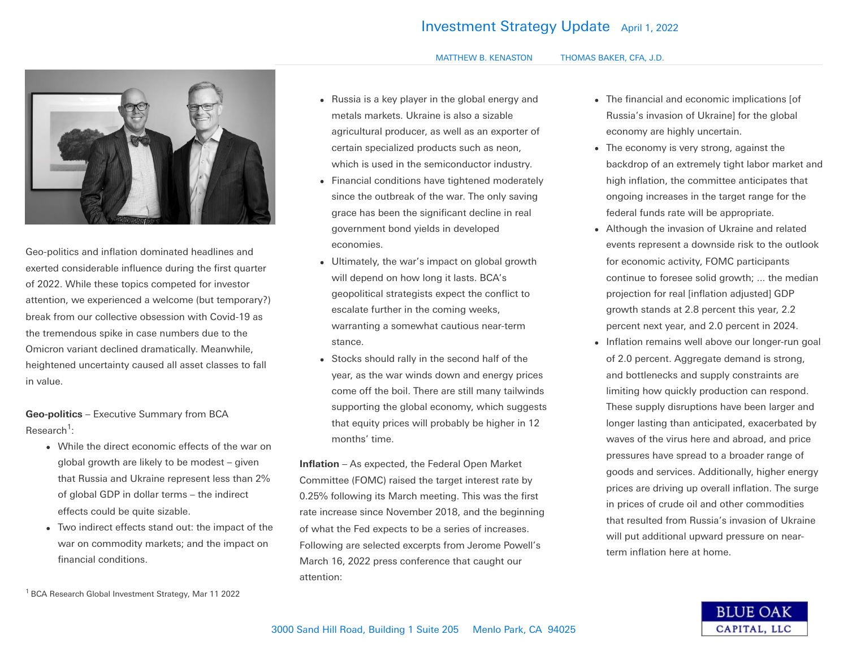## **Investment Strategy Update** April 1, 2022

## MATTHEW B. KENASTON THOMAS BAKER, CFA, J.D.



Geo-politics and inflation dominated headlines and exerted considerable influence during the first quarter of 2022. While these topics competed for investor attention, we experienced a welcome (but temporary?) break from our collective obsession with Covid-19 as the tremendous spike in case numbers due to the Omicron variant declined dramatically. Meanwhile, heightened uncertainty caused all asset classes to fall in value.

**Geo-politics** – Executive Summary from BCA Research<sup>1</sup>:

- While the direct economic effects of the war on global growth are likely to be modest – given that Russia and Ukraine represent less than 2% of global GDP in dollar terms – the indirect effects could be quite sizable.
- Two indirect effects stand out: the impact of the war on commodity markets; and the impact on financial conditions.

<sup>1</sup> BCA Research Global Investment Strategy, Mar 11 2022

- Russia is a key player in the global energy and metals markets. Ukraine is also a sizable agricultural producer, as well as an exporter of certain specialized products such as neon, which is used in the semiconductor industry.
- Financial conditions have tightened moderately since the outbreak of the war. The only saving grace has been the significant decline in real government bond yields in developed economies.
- Ultimately, the war's impact on global growth will depend on how long it lasts. BCA's geopolitical strategists expect the conflict to escalate further in the coming weeks, warranting a somewhat cautious near-term stance.
- Stocks should rally in the second half of the year, as the war winds down and energy prices come off the boil. There are still many tailwinds supporting the global economy, which suggests that equity prices will probably be higher in 12 months' time.

**Inflation** – As expected, the Federal Open Market Committee (FOMC) raised the target interest rate by 0.25% following its March meeting. This was the first rate increase since November 2018, and the beginning of what the Fed expects to be a series of increases. Following are selected excerpts from Jerome Powell's March 16, 2022 press conference that caught our attention:

- The financial and economic implications [of Russia's invasion of Ukraine] for the global economy are highly uncertain.
- The economy is very strong, against the backdrop of an extremely tight labor market and high inflation, the committee anticipates that ongoing increases in the target range for the federal funds rate will be appropriate.
- Although the invasion of Ukraine and related events represent a downside risk to the outlook for economic activity, FOMC participants continue to foresee solid growth; ... the median projection for real [inflation adjusted] GDP growth stands at 2.8 percent this year, 2.2 percent next year, and 2.0 percent in 2024.
- Inflation remains well above our longer-run goal of 2.0 percent. Aggregate demand is strong, and bottlenecks and supply constraints are limiting how quickly production can respond. These supply disruptions have been larger and longer lasting than anticipated, exacerbated by waves of the virus here and abroad, and price pressures have spread to a broader range of goods and services. Additionally, higher energy prices are driving up overall inflation. The surge in prices of crude oil and other commodities that resulted from Russia's invasion of Ukraine will put additional upward pressure on nearterm inflation here at home.